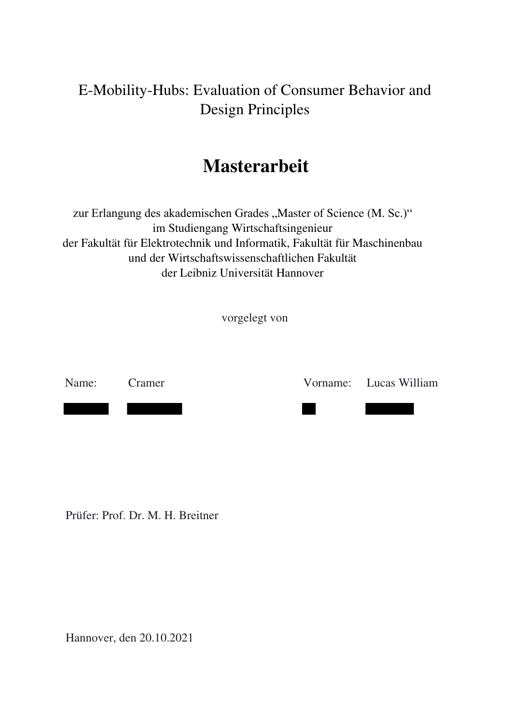# E-Mobility-Hubs: Evaluation of Consumer Behavior and Design Principles

# **Masterarbeit**

zur Erlangung des akademischen Grades "Master of Science (M. Sc.)" im Studiengang Wirtschaftsingenieur der Fakultät für Elektrotechnik und Informatik, Fakultät für Maschinenbau und der Wirtschaftswissenschaftlichen Fakultät der Leibniz Universität Hannover

vorgelegt von

Name: Cramer Vorname: Lucas William

Prüfer: Prof. Dr. M. H. Breitner

Hannover, den 20.10.2021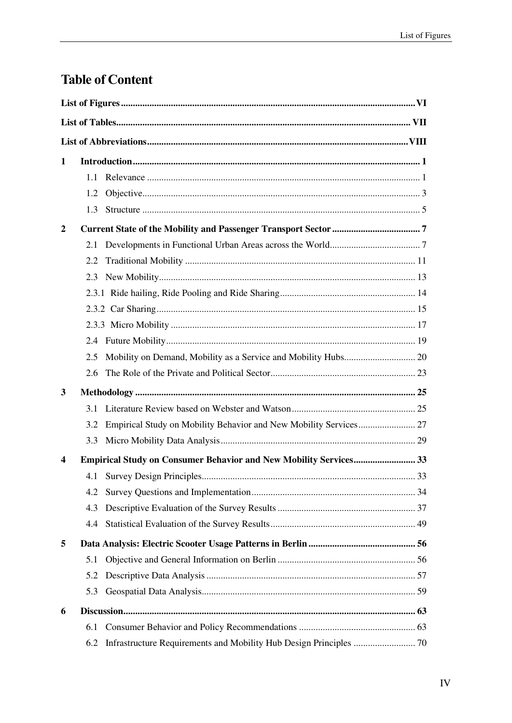# **Table of Content**

| 1                |     |                                                                          |  |  |  |  |
|------------------|-----|--------------------------------------------------------------------------|--|--|--|--|
|                  | 1.1 |                                                                          |  |  |  |  |
|                  | 1.2 |                                                                          |  |  |  |  |
|                  | 1.3 |                                                                          |  |  |  |  |
| 2                |     |                                                                          |  |  |  |  |
|                  | 2.1 |                                                                          |  |  |  |  |
|                  | 2.2 |                                                                          |  |  |  |  |
|                  | 2.3 |                                                                          |  |  |  |  |
|                  |     |                                                                          |  |  |  |  |
|                  |     |                                                                          |  |  |  |  |
|                  |     |                                                                          |  |  |  |  |
|                  | 2.4 |                                                                          |  |  |  |  |
|                  | 2.5 |                                                                          |  |  |  |  |
|                  | 2.6 |                                                                          |  |  |  |  |
| 3                |     |                                                                          |  |  |  |  |
|                  | 3.1 |                                                                          |  |  |  |  |
|                  | 3.2 |                                                                          |  |  |  |  |
|                  | 3.3 |                                                                          |  |  |  |  |
| $\boldsymbol{4}$ |     | <b>Empirical Study on Consumer Behavior and New Mobility Services 33</b> |  |  |  |  |
|                  | 4.1 |                                                                          |  |  |  |  |
|                  | 4.2 |                                                                          |  |  |  |  |
|                  | 4.3 |                                                                          |  |  |  |  |
|                  | 4.4 |                                                                          |  |  |  |  |
| 5                |     |                                                                          |  |  |  |  |
|                  | 5.1 |                                                                          |  |  |  |  |
|                  | 5.2 |                                                                          |  |  |  |  |
|                  | 5.3 |                                                                          |  |  |  |  |
| 6                |     |                                                                          |  |  |  |  |
|                  | 6.1 |                                                                          |  |  |  |  |
|                  | 6.2 |                                                                          |  |  |  |  |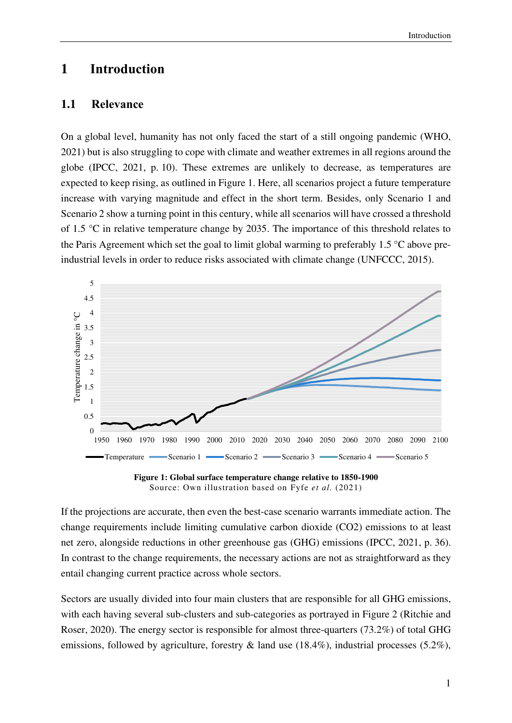## **1 Introduction**

#### **1.1 Relevance**

On a global level, humanity has not only faced the start of a still ongoing pandemic (WHO, 2021) but is also struggling to cope with climate and weather extremes in all regions around the globe (IPCC, 2021, p. 10). These extremes are unlikely to decrease, as temperatures are expected to keep rising, as outlined in Figure 1. Here, all scenarios project a future temperature increase with varying magnitude and effect in the short term. Besides, only Scenario 1 and Scenario 2 show a turning point in this century, while all scenarios will have crossed a threshold of 1.5 °C in relative temperature change by 2035. The importance of this threshold relates to the Paris Agreement which set the goal to limit global warming to preferably 1.5 °C above preindustrial levels in order to reduce risks associated with climate change (UNFCCC, 2015).



**Figure 1: Global surface temperature change relative to 1850-1900**  Source: Own illustration based on Fyfe *et al.* (2021)

If the projections are accurate, then even the best-case scenario warrants immediate action. The change requirements include limiting cumulative carbon dioxide (CO2) emissions to at least net zero, alongside reductions in other greenhouse gas (GHG) emissions (IPCC, 2021, p. 36). In contrast to the change requirements, the necessary actions are not as straightforward as they entail changing current practice across whole sectors.

Sectors are usually divided into four main clusters that are responsible for all GHG emissions, with each having several sub-clusters and sub-categories as portrayed in Figure 2 (Ritchie and Roser, 2020). The energy sector is responsible for almost three-quarters (73.2%) of total GHG emissions, followed by agriculture, forestry & land use (18.4%), industrial processes (5.2%),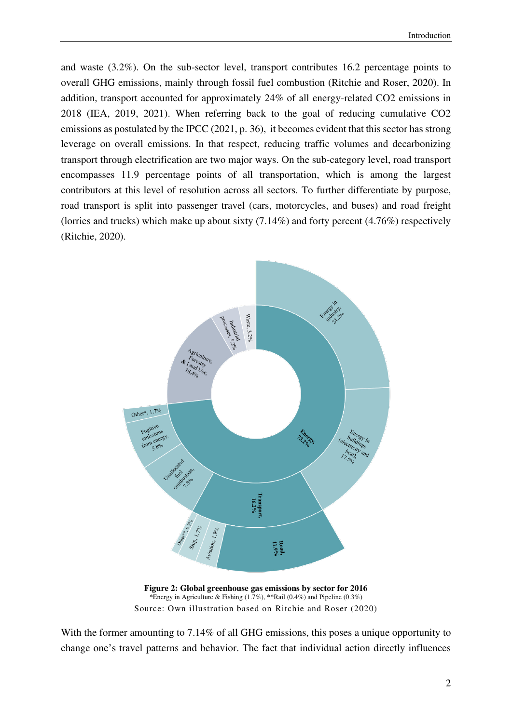and waste (3.2%). On the sub-sector level, transport contributes 16.2 percentage points to overall GHG emissions, mainly through fossil fuel combustion (Ritchie and Roser, 2020). In addition, transport accounted for approximately 24% of all energy-related CO2 emissions in 2018 (IEA, 2019, 2021). When referring back to the goal of reducing cumulative CO2 emissions as postulated by the IPCC (2021, p. 36), it becomes evident that this sector has strong leverage on overall emissions. In that respect, reducing traffic volumes and decarbonizing transport through electrification are two major ways. On the sub-category level, road transport encompasses 11.9 percentage points of all transportation, which is among the largest contributors at this level of resolution across all sectors. To further differentiate by purpose, road transport is split into passenger travel (cars, motorcycles, and buses) and road freight (lorries and trucks) which make up about sixty (7.14%) and forty percent (4.76%) respectively (Ritchie, 2020).



**Figure 2: Global greenhouse gas emissions by sector for 2016**  \*Energy in Agriculture & Fishing  $(1.7\%)$ , \*\*Rail  $(0.4\%)$  and Pipeline  $(0.3\%)$ Source: Own illustration based on Ritchie and Roser (2020)

With the former amounting to 7.14% of all GHG emissions, this poses a unique opportunity to change one's travel patterns and behavior. The fact that individual action directly influences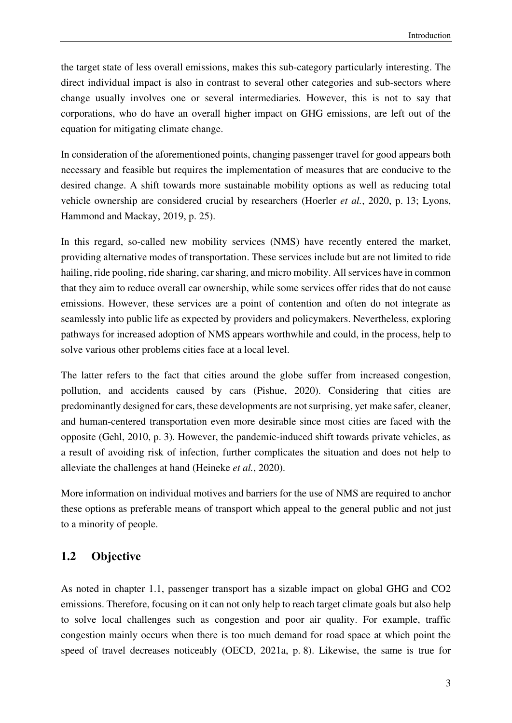the target state of less overall emissions, makes this sub-category particularly interesting. The direct individual impact is also in contrast to several other categories and sub-sectors where change usually involves one or several intermediaries. However, this is not to say that corporations, who do have an overall higher impact on GHG emissions, are left out of the equation for mitigating climate change.

In consideration of the aforementioned points, changing passenger travel for good appears both necessary and feasible but requires the implementation of measures that are conducive to the desired change. A shift towards more sustainable mobility options as well as reducing total vehicle ownership are considered crucial by researchers (Hoerler *et al.*, 2020, p. 13; Lyons, Hammond and Mackay, 2019, p. 25).

In this regard, so-called new mobility services (NMS) have recently entered the market, providing alternative modes of transportation. These services include but are not limited to ride hailing, ride pooling, ride sharing, car sharing, and micro mobility. All services have in common that they aim to reduce overall car ownership, while some services offer rides that do not cause emissions. However, these services are a point of contention and often do not integrate as seamlessly into public life as expected by providers and policymakers. Nevertheless, exploring pathways for increased adoption of NMS appears worthwhile and could, in the process, help to solve various other problems cities face at a local level.

The latter refers to the fact that cities around the globe suffer from increased congestion, pollution, and accidents caused by cars (Pishue, 2020). Considering that cities are predominantly designed for cars, these developments are not surprising, yet make safer, cleaner, and human-centered transportation even more desirable since most cities are faced with the opposite (Gehl, 2010, p. 3). However, the pandemic-induced shift towards private vehicles, as a result of avoiding risk of infection, further complicates the situation and does not help to alleviate the challenges at hand (Heineke *et al.*, 2020).

More information on individual motives and barriers for the use of NMS are required to anchor these options as preferable means of transport which appeal to the general public and not just to a minority of people.

### **1.2 Objective**

As noted in chapter 1.1, passenger transport has a sizable impact on global GHG and CO2 emissions. Therefore, focusing on it can not only help to reach target climate goals but also help to solve local challenges such as congestion and poor air quality. For example, traffic congestion mainly occurs when there is too much demand for road space at which point the speed of travel decreases noticeably (OECD, 2021a, p. 8). Likewise, the same is true for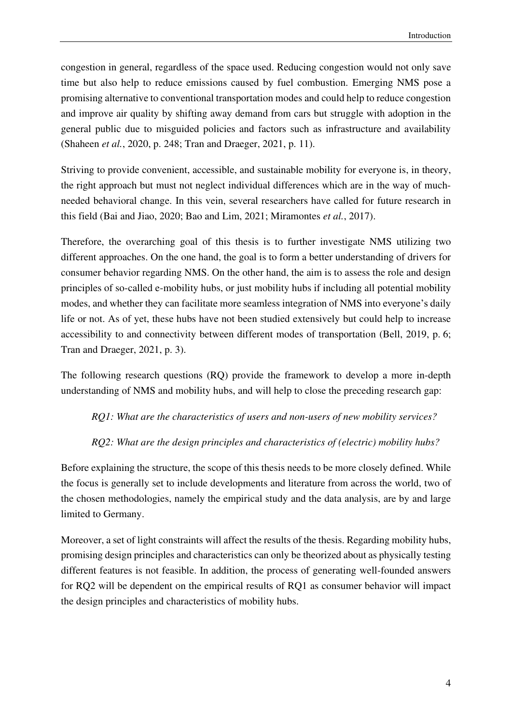congestion in general, regardless of the space used. Reducing congestion would not only save time but also help to reduce emissions caused by fuel combustion. Emerging NMS pose a promising alternative to conventional transportation modes and could help to reduce congestion and improve air quality by shifting away demand from cars but struggle with adoption in the general public due to misguided policies and factors such as infrastructure and availability (Shaheen *et al.*, 2020, p. 248; Tran and Draeger, 2021, p. 11).

Striving to provide convenient, accessible, and sustainable mobility for everyone is, in theory, the right approach but must not neglect individual differences which are in the way of muchneeded behavioral change. In this vein, several researchers have called for future research in this field (Bai and Jiao, 2020; Bao and Lim, 2021; Miramontes *et al.*, 2017).

Therefore, the overarching goal of this thesis is to further investigate NMS utilizing two different approaches. On the one hand, the goal is to form a better understanding of drivers for consumer behavior regarding NMS. On the other hand, the aim is to assess the role and design principles of so-called e-mobility hubs, or just mobility hubs if including all potential mobility modes, and whether they can facilitate more seamless integration of NMS into everyone's daily life or not. As of yet, these hubs have not been studied extensively but could help to increase accessibility to and connectivity between different modes of transportation (Bell, 2019, p. 6; Tran and Draeger, 2021, p. 3).

The following research questions (RQ) provide the framework to develop a more in-depth understanding of NMS and mobility hubs, and will help to close the preceding research gap:

*RQ1: What are the characteristics of users and non-users of new mobility services?* 

*RQ2: What are the design principles and characteristics of (electric) mobility hubs?* 

Before explaining the structure, the scope of this thesis needs to be more closely defined. While the focus is generally set to include developments and literature from across the world, two of the chosen methodologies, namely the empirical study and the data analysis, are by and large limited to Germany.

Moreover, a set of light constraints will affect the results of the thesis. Regarding mobility hubs, promising design principles and characteristics can only be theorized about as physically testing different features is not feasible. In addition, the process of generating well-founded answers for RQ2 will be dependent on the empirical results of RQ1 as consumer behavior will impact the design principles and characteristics of mobility hubs.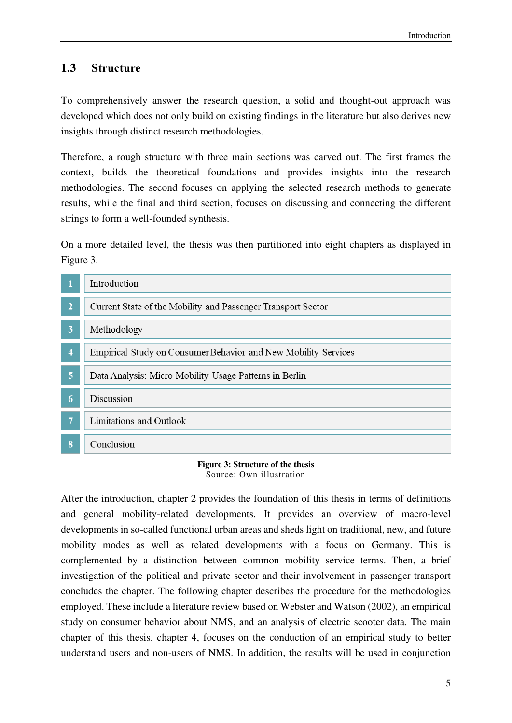### **1.3 Structure**

To comprehensively answer the research question, a solid and thought-out approach was developed which does not only build on existing findings in the literature but also derives new insights through distinct research methodologies.

Therefore, a rough structure with three main sections was carved out. The first frames the context, builds the theoretical foundations and provides insights into the research methodologies. The second focuses on applying the selected research methods to generate results, while the final and third section, focuses on discussing and connecting the different strings to form a well-founded synthesis.

On a more detailed level, the thesis was then partitioned into eight chapters as displayed in Figure 3.

|                         | Introduction                                                   |
|-------------------------|----------------------------------------------------------------|
| $\overline{2}$          | Current State of the Mobility and Passenger Transport Sector   |
| 3                       | Methodology                                                    |
| $\overline{\mathbf{4}}$ | Empirical Study on Consumer Behavior and New Mobility Services |
| $\overline{5}$          | Data Analysis: Micro Mobility Usage Patterns in Berlin         |
| 6                       | Discussion                                                     |
| $\overline{7}$          | Limitations and Outlook                                        |
| 8                       | Conclusion                                                     |

#### **Figure 3: Structure of the thesis**  Source: Own illustration

After the introduction, chapter 2 provides the foundation of this thesis in terms of definitions and general mobility-related developments. It provides an overview of macro-level developments in so-called functional urban areas and sheds light on traditional, new, and future mobility modes as well as related developments with a focus on Germany. This is complemented by a distinction between common mobility service terms. Then, a brief investigation of the political and private sector and their involvement in passenger transport concludes the chapter. The following chapter describes the procedure for the methodologies employed. These include a literature review based on Webster and Watson (2002), an empirical study on consumer behavior about NMS, and an analysis of electric scooter data. The main chapter of this thesis, chapter 4, focuses on the conduction of an empirical study to better understand users and non-users of NMS. In addition, the results will be used in conjunction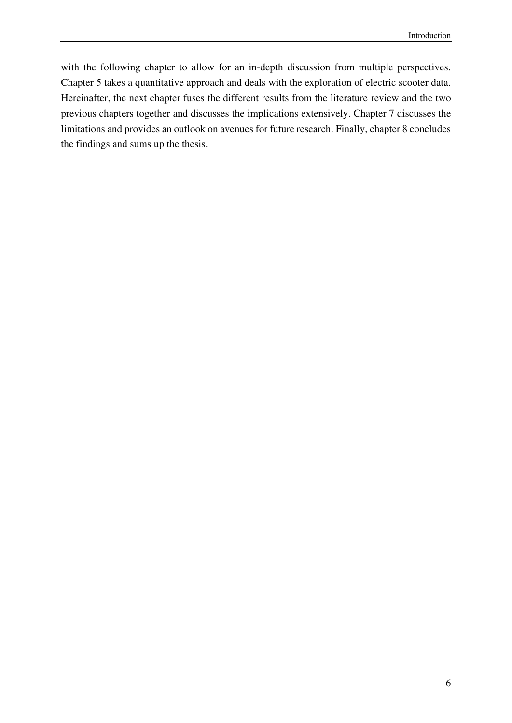with the following chapter to allow for an in-depth discussion from multiple perspectives. Chapter 5 takes a quantitative approach and deals with the exploration of electric scooter data. Hereinafter, the next chapter fuses the different results from the literature review and the two previous chapters together and discusses the implications extensively. Chapter 7 discusses the limitations and provides an outlook on avenues for future research. Finally, chapter 8 concludes the findings and sums up the thesis.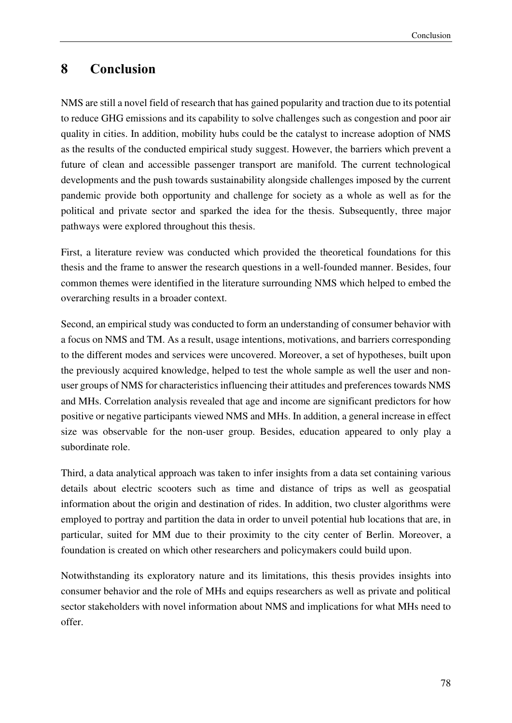## **8 Conclusion**

NMS are still a novel field of research that has gained popularity and traction due to its potential to reduce GHG emissions and its capability to solve challenges such as congestion and poor air quality in cities. In addition, mobility hubs could be the catalyst to increase adoption of NMS as the results of the conducted empirical study suggest. However, the barriers which prevent a future of clean and accessible passenger transport are manifold. The current technological developments and the push towards sustainability alongside challenges imposed by the current pandemic provide both opportunity and challenge for society as a whole as well as for the political and private sector and sparked the idea for the thesis. Subsequently, three major pathways were explored throughout this thesis.

First, a literature review was conducted which provided the theoretical foundations for this thesis and the frame to answer the research questions in a well-founded manner. Besides, four common themes were identified in the literature surrounding NMS which helped to embed the overarching results in a broader context.

Second, an empirical study was conducted to form an understanding of consumer behavior with a focus on NMS and TM. As a result, usage intentions, motivations, and barriers corresponding to the different modes and services were uncovered. Moreover, a set of hypotheses, built upon the previously acquired knowledge, helped to test the whole sample as well the user and nonuser groups of NMS for characteristics influencing their attitudes and preferences towards NMS and MHs. Correlation analysis revealed that age and income are significant predictors for how positive or negative participants viewed NMS and MHs. In addition, a general increase in effect size was observable for the non-user group. Besides, education appeared to only play a subordinate role.

Third, a data analytical approach was taken to infer insights from a data set containing various details about electric scooters such as time and distance of trips as well as geospatial information about the origin and destination of rides. In addition, two cluster algorithms were employed to portray and partition the data in order to unveil potential hub locations that are, in particular, suited for MM due to their proximity to the city center of Berlin. Moreover, a foundation is created on which other researchers and policymakers could build upon.

Notwithstanding its exploratory nature and its limitations, this thesis provides insights into consumer behavior and the role of MHs and equips researchers as well as private and political sector stakeholders with novel information about NMS and implications for what MHs need to offer.